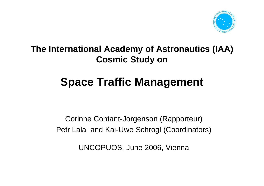

### **The International Academy of Astronautics (IAA) Cosmic Study on**

# **Space Traffic Management**

Corinne Contant-Jorgenson (Rapporteur) Petr Lala and Kai-Uwe Schrogl (Coordinators)

UNCOPUOS, June 2006, Vienna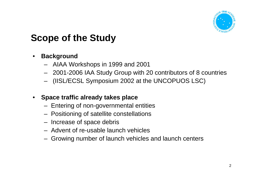

# **Scope of the Study**

#### •**Background**

- AIAA Workshops in 1999 and 2001
- 2001-2006 IAA Study Group with 20 contributors of 8 countries
- (IISL/ECSL Symposium 2002 at the UNCOPUOS LSC)

#### •**Space traffic already takes place**

- Entering of non-governmental entities
- Positioning of satellite constellations
- Increase of space debris
- Advent of re-usable launch vehicles
- Growing number of launch vehicles and launch centers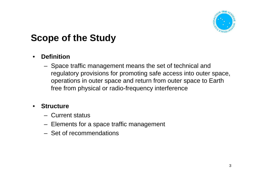

# **Scope of the Study**

### •**Definition**

 Space traffic management means the set of technical and regulatory provisions for promoting safe access into outer space, operations in outer space and return from outer space to Earth free from physical or radio-frequency interference

#### •**Structure**

- Current status
- Elements for a space traffic management
- Set of recommendations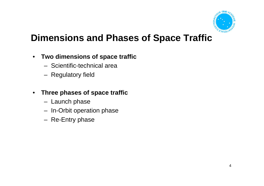

## **Dimensions and Phases of Space Traffic**

- $\bullet$  **Two dimensions of space traffic**
	- Scientific-technical area
	- Regulatory field
- $\bullet$  **Three phases of space traffic**
	- Launch phase
	- In-Orbit operation phase
	- Re-Entry phase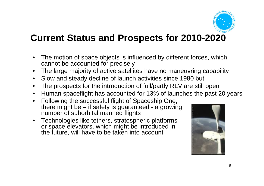

### **Current Status and Prospects for 2010-2020**

- $\bullet$  The motion of space objects is influenced by different forces, which cannot be accounted for precisely
- •The large majority of active satellites have no maneuvring capability
- •Slow and steady decline of launch activities since 1980 but
- •The prospects for the introduction of full/partly RLV are still open
- •Human spaceflight has accounted for 13% of launches the past 20 years
- $\bullet$  Following the successful flight of Spaceship One, there might be – if safety is guaranteed - a growing number of suborbital manned flights
- Technologies like tethers, stratospheric platforms or space elevators, which might be introduced in the future, will have to be taken into account

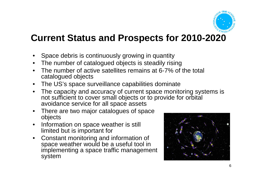

### **Current Status and Prospects for 2010-2020**

- $\bullet$ Space debris is continuously growing in quantity
- •The number of catalogued objects is steadily rising
- • The number of active satellites remains at 6-7% of the total catalogued objects
- •The US's space surveillance capabilities dominate
- • The capacity and accuracy of current space monitoring systems is not sufficient to cover small objects or to provide for orbital avoidance service for all space assets
- There are two major catalogues of space objects
- $\bullet$  Information on space weather is still limited but is important for
- Constant monitoring and information of space weather would be a useful tool in implementing a space traffic management system

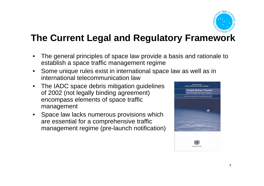

# **The Current Legal and Regulatory Framework**

- • The general principles of space law provide a basis and rationale to establish a space traffic management regime
- $\bullet$  Some unique rules exist in international space law as well as in international telecommunication law
- $\bullet$  The IADC space debris mitigation guidelines of 2002 (not legally binding agreement) encompass elements of space traffic management
- • Space law lacks numerous provisions which are essential for a comprehensive traffic management regime (pre-launch notification)

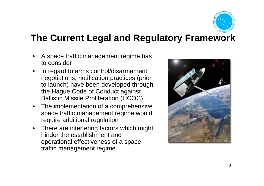

### **The Current Legal and Regulatory Framework**

- • A space traffic management regime has to consider
- • In regard to arms control/disarmament negotiations, notification practices (prior to launch) have been developed through the Hague Code of Conduct against Ballistic Missile Proliferation (HCOC)
- • The implementation of a comprehensive space traffic management regime would require additional regulation
- $\bullet$  There are interfering factors which might hinder the establishment and operational effectiveness of a space traffic management regime

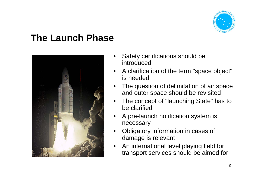

### **The Launch Phase**



- • Safety certifications should be introduced
- • A clarification of the term "space object" is needed
- • The question of delimitation of air space and outer space should be revisited
- • The concept of "launching State" has to be clarified
- • A pre-launch notification system is necessary
- • Obligatory information in cases of damage is relevant
- • An international level playing field for transport services should be aimed for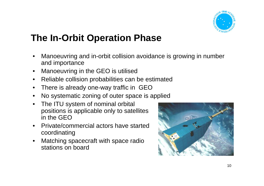

### **The In-Orbit Operation Phase**

- • Manoeuvring and in-orbit collision avoidance is growing in number and importance
- $\bullet$ Manoeuvring in the GEO is utilised
- •Reliable collision probabilities can be estimated
- •There is already one-way traffic in GEO
- •No systematic zoning of outer space is applied
- • The ITU system of nominal orbital positions is applicable only to satellites in the GEO
- $\bullet$  Private/commercial actors have startedcoordinating
- • Matching spacecraft with space radio stations on board

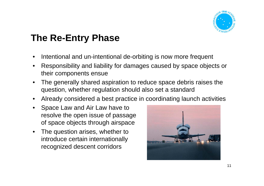

# **The Re-Entry Phase**

- •Intentional and un-intentional de-orbiting is now more frequent
- • Responsibility and liability for damages caused by space objects or their components ensue
- $\bullet$  The generally shared aspiration to reduce space debris raises the question, whether regulation should also set a standard
- •Already considered a best practice in coordinating launch activities
- $\bullet$  Space Law and Air Law have to resolve the open issue of passage of space objects through airspace
- $\bullet$  The question arises, whether to introduce certain internationally recognized descent corridors

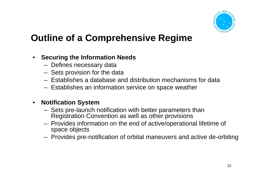

#### $\bullet$ **Securing the Information Needs**

- Defines necessary data
- Sets provision for the data
- Establishes a database and distribution mechanisms for data
- Establishes an information service on space weather

#### $\bullet$ **Notification System**

- Sets pre-launch notification with better parameters than Registration Convention as well as other provisions
- Provides information on the end of active/operational lifetime of space objects
- Provides pre-notification of orbital maneuvers and active de-orbiting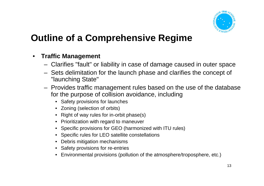

#### $\bullet$ **Traffic Management**

- Clarifies "fault" or liability in case of damage caused in outer space
- Sets delimitation for the launch phase and clarifies the concept of "launching State"
- Provides traffic management rules based on the use of the database for the purpose of collision avoidance, including
	- Safety provisions for launches
	- Zoning (selection of orbits)
	- Right of way rules for in-orbit phase(s)
	- Prioritization with regard to maneuver
	- Specific provisions for GEO (harmonized with ITU rules)
	- Specific rules for LEO satellite constellations
	- Debris mitigation mechanisms
	- Safety provisions for re-entries
	- •Environmental provisions (pollution of the atmosphere/troposphere, etc.)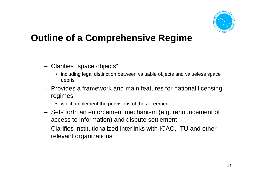

- Clarifies "space objects"
	- including legal distinction between valuable objects and valueless space debris
- Provides a framework and main features for national licensing regimes
	- which implement the provisions of the agreement
- Sets forth an enforcement mechanism (e.g. renouncement of access to information) and dispute settlement
- Clarifies institutionalized interlinks with ICAO, ITU and other relevant organizations